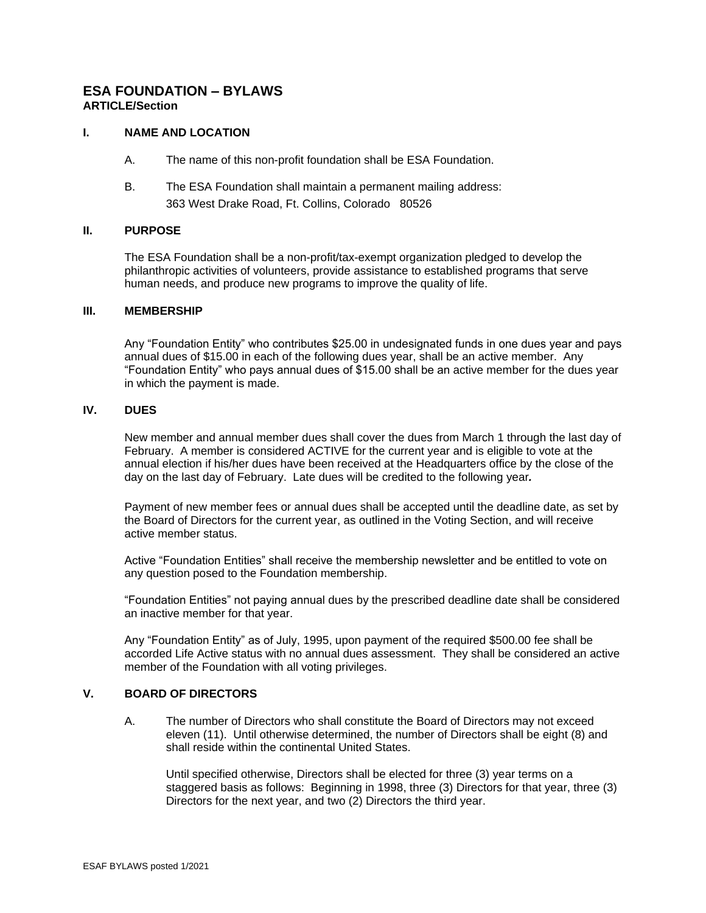# **ESA FOUNDATION – BYLAWS ARTICLE/Section**

# **I. NAME AND LOCATION**

- A. The name of this non-profit foundation shall be ESA Foundation.
- B. The ESA Foundation shall maintain a permanent mailing address: 363 West Drake Road, Ft. Collins, Colorado 80526

# **II. PURPOSE**

The ESA Foundation shall be a non-profit/tax-exempt organization pledged to develop the philanthropic activities of volunteers, provide assistance to established programs that serve human needs, and produce new programs to improve the quality of life.

#### **III. MEMBERSHIP**

Any "Foundation Entity" who contributes \$25.00 in undesignated funds in one dues year and pays annual dues of \$15.00 in each of the following dues year, shall be an active member. Any "Foundation Entity" who pays annual dues of \$15.00 shall be an active member for the dues year in which the payment is made.

# **IV. DUES**

New member and annual member dues shall cover the dues from March 1 through the last day of February. A member is considered ACTIVE for the current year and is eligible to vote at the annual election if his/her dues have been received at the Headquarters office by the close of the day on the last day of February. Late dues will be credited to the following year*.*

Payment of new member fees or annual dues shall be accepted until the deadline date, as set by the Board of Directors for the current year, as outlined in the Voting Section, and will receive active member status.

Active "Foundation Entities" shall receive the membership newsletter and be entitled to vote on any question posed to the Foundation membership.

"Foundation Entities" not paying annual dues by the prescribed deadline date shall be considered an inactive member for that year.

Any "Foundation Entity" as of July, 1995, upon payment of the required \$500.00 fee shall be accorded Life Active status with no annual dues assessment. They shall be considered an active member of the Foundation with all voting privileges.

# **V. BOARD OF DIRECTORS**

A. The number of Directors who shall constitute the Board of Directors may not exceed eleven (11). Until otherwise determined, the number of Directors shall be eight (8) and shall reside within the continental United States.

Until specified otherwise, Directors shall be elected for three (3) year terms on a staggered basis as follows: Beginning in 1998, three (3) Directors for that year, three (3) Directors for the next year, and two (2) Directors the third year.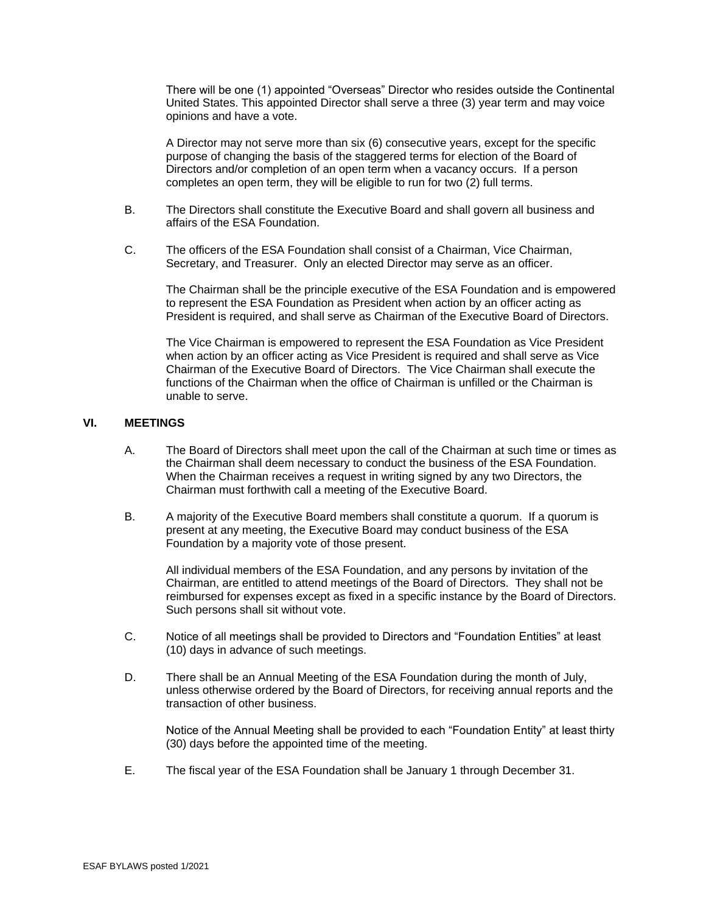There will be one (1) appointed "Overseas" Director who resides outside the Continental United States. This appointed Director shall serve a three (3) year term and may voice opinions and have a vote.

A Director may not serve more than six (6) consecutive years, except for the specific purpose of changing the basis of the staggered terms for election of the Board of Directors and/or completion of an open term when a vacancy occurs. If a person completes an open term, they will be eligible to run for two (2) full terms.

- B. The Directors shall constitute the Executive Board and shall govern all business and affairs of the ESA Foundation.
- C. The officers of the ESA Foundation shall consist of a Chairman, Vice Chairman, Secretary, and Treasurer. Only an elected Director may serve as an officer.

The Chairman shall be the principle executive of the ESA Foundation and is empowered to represent the ESA Foundation as President when action by an officer acting as President is required, and shall serve as Chairman of the Executive Board of Directors.

The Vice Chairman is empowered to represent the ESA Foundation as Vice President when action by an officer acting as Vice President is required and shall serve as Vice Chairman of the Executive Board of Directors. The Vice Chairman shall execute the functions of the Chairman when the office of Chairman is unfilled or the Chairman is unable to serve.

# **VI. MEETINGS**

- A. The Board of Directors shall meet upon the call of the Chairman at such time or times as the Chairman shall deem necessary to conduct the business of the ESA Foundation. When the Chairman receives a request in writing signed by any two Directors, the Chairman must forthwith call a meeting of the Executive Board.
- B. A majority of the Executive Board members shall constitute a quorum. If a quorum is present at any meeting, the Executive Board may conduct business of the ESA Foundation by a majority vote of those present.

All individual members of the ESA Foundation, and any persons by invitation of the Chairman, are entitled to attend meetings of the Board of Directors. They shall not be reimbursed for expenses except as fixed in a specific instance by the Board of Directors. Such persons shall sit without vote.

- C. Notice of all meetings shall be provided to Directors and "Foundation Entities" at least (10) days in advance of such meetings.
- D. There shall be an Annual Meeting of the ESA Foundation during the month of July, unless otherwise ordered by the Board of Directors, for receiving annual reports and the transaction of other business.

Notice of the Annual Meeting shall be provided to each "Foundation Entity" at least thirty (30) days before the appointed time of the meeting.

E. The fiscal year of the ESA Foundation shall be January 1 through December 31.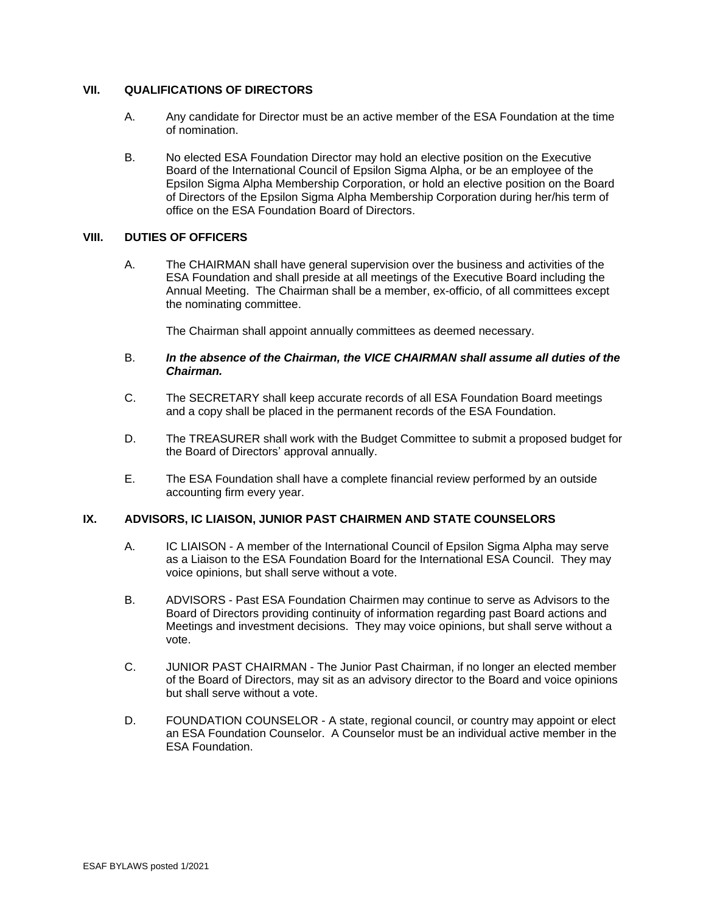# **VII. QUALIFICATIONS OF DIRECTORS**

- A. Any candidate for Director must be an active member of the ESA Foundation at the time of nomination.
- B. No elected ESA Foundation Director may hold an elective position on the Executive Board of the International Council of Epsilon Sigma Alpha, or be an employee of the Epsilon Sigma Alpha Membership Corporation, or hold an elective position on the Board of Directors of the Epsilon Sigma Alpha Membership Corporation during her/his term of office on the ESA Foundation Board of Directors.

### **VIII. DUTIES OF OFFICERS**

A. The CHAIRMAN shall have general supervision over the business and activities of the ESA Foundation and shall preside at all meetings of the Executive Board including the Annual Meeting. The Chairman shall be a member, ex-officio, of all committees except the nominating committee.

The Chairman shall appoint annually committees as deemed necessary.

### B. *In the absence of the Chairman, the VICE CHAIRMAN shall assume all duties of the Chairman.*

- C. The SECRETARY shall keep accurate records of all ESA Foundation Board meetings and a copy shall be placed in the permanent records of the ESA Foundation.
- D. The TREASURER shall work with the Budget Committee to submit a proposed budget for the Board of Directors' approval annually.
- E. The ESA Foundation shall have a complete financial review performed by an outside accounting firm every year.

#### **IX. ADVISORS, IC LIAISON, JUNIOR PAST CHAIRMEN AND STATE COUNSELORS**

- A. IC LIAISON A member of the International Council of Epsilon Sigma Alpha may serve as a Liaison to the ESA Foundation Board for the International ESA Council. They may voice opinions, but shall serve without a vote.
- B. ADVISORS Past ESA Foundation Chairmen may continue to serve as Advisors to the Board of Directors providing continuity of information regarding past Board actions and Meetings and investment decisions. They may voice opinions, but shall serve without a vote.
- C. JUNIOR PAST CHAIRMAN The Junior Past Chairman, if no longer an elected member of the Board of Directors, may sit as an advisory director to the Board and voice opinions but shall serve without a vote.
- D. FOUNDATION COUNSELOR A state, regional council, or country may appoint or elect an ESA Foundation Counselor. A Counselor must be an individual active member in the ESA Foundation.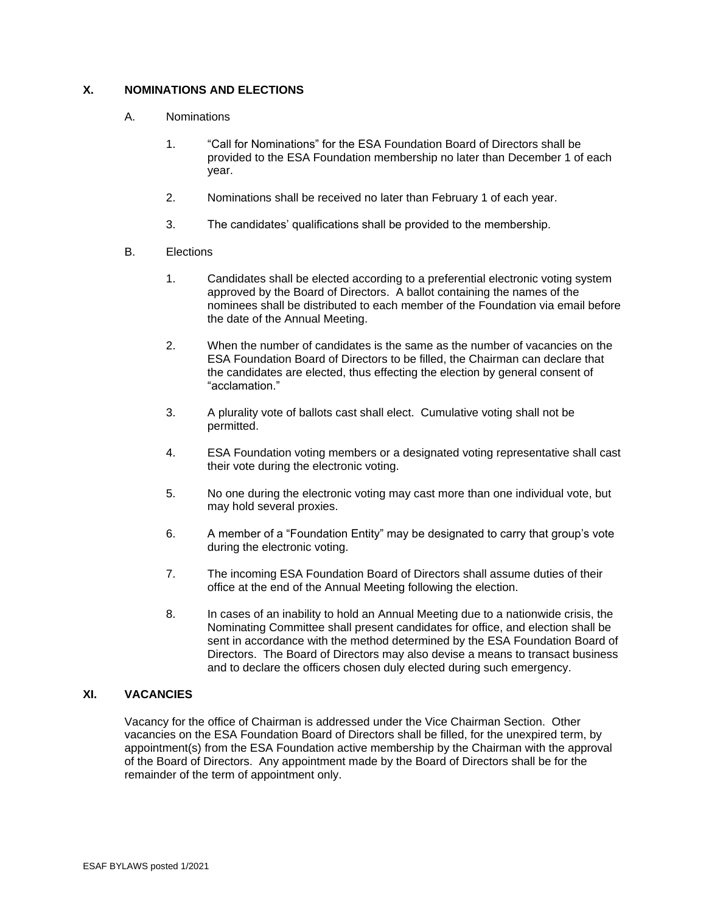# **X. NOMINATIONS AND ELECTIONS**

- A. Nominations
	- 1. "Call for Nominations" for the ESA Foundation Board of Directors shall be provided to the ESA Foundation membership no later than December 1 of each year.
	- 2. Nominations shall be received no later than February 1 of each year.
	- 3. The candidates' qualifications shall be provided to the membership.
- B. Elections
	- 1. Candidates shall be elected according to a preferential electronic voting system approved by the Board of Directors. A ballot containing the names of the nominees shall be distributed to each member of the Foundation via email before the date of the Annual Meeting.
	- 2. When the number of candidates is the same as the number of vacancies on the ESA Foundation Board of Directors to be filled, the Chairman can declare that the candidates are elected, thus effecting the election by general consent of "acclamation."
	- 3. A plurality vote of ballots cast shall elect. Cumulative voting shall not be permitted.
	- 4. ESA Foundation voting members or a designated voting representative shall cast their vote during the electronic voting.
	- 5. No one during the electronic voting may cast more than one individual vote, but may hold several proxies.
	- 6. A member of a "Foundation Entity" may be designated to carry that group's vote during the electronic voting.
	- 7. The incoming ESA Foundation Board of Directors shall assume duties of their office at the end of the Annual Meeting following the election.
	- 8. In cases of an inability to hold an Annual Meeting due to a nationwide crisis, the Nominating Committee shall present candidates for office, and election shall be sent in accordance with the method determined by the ESA Foundation Board of Directors. The Board of Directors may also devise a means to transact business and to declare the officers chosen duly elected during such emergency.

#### **XI. VACANCIES**

Vacancy for the office of Chairman is addressed under the Vice Chairman Section. Other vacancies on the ESA Foundation Board of Directors shall be filled, for the unexpired term, by appointment(s) from the ESA Foundation active membership by the Chairman with the approval of the Board of Directors. Any appointment made by the Board of Directors shall be for the remainder of the term of appointment only.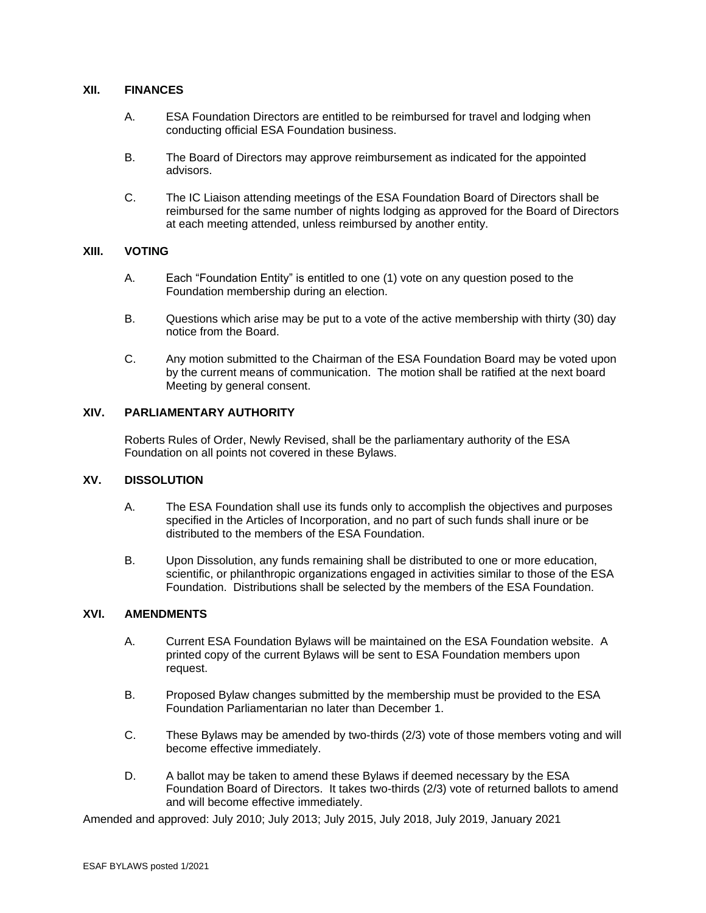#### **XII. FINANCES**

- A. ESA Foundation Directors are entitled to be reimbursed for travel and lodging when conducting official ESA Foundation business.
- B. The Board of Directors may approve reimbursement as indicated for the appointed advisors.
- C. The IC Liaison attending meetings of the ESA Foundation Board of Directors shall be reimbursed for the same number of nights lodging as approved for the Board of Directors at each meeting attended, unless reimbursed by another entity.

#### **XIII. VOTING**

- A. Each "Foundation Entity" is entitled to one (1) vote on any question posed to the Foundation membership during an election.
- B. Questions which arise may be put to a vote of the active membership with thirty (30) day notice from the Board.
- C. Any motion submitted to the Chairman of the ESA Foundation Board may be voted upon by the current means of communication. The motion shall be ratified at the next board Meeting by general consent.

### **XIV. PARLIAMENTARY AUTHORITY**

Roberts Rules of Order, Newly Revised, shall be the parliamentary authority of the ESA Foundation on all points not covered in these Bylaws.

### **XV. DISSOLUTION**

- A. The ESA Foundation shall use its funds only to accomplish the objectives and purposes specified in the Articles of Incorporation, and no part of such funds shall inure or be distributed to the members of the ESA Foundation.
- B. Upon Dissolution, any funds remaining shall be distributed to one or more education, scientific, or philanthropic organizations engaged in activities similar to those of the ESA Foundation. Distributions shall be selected by the members of the ESA Foundation.

#### **XVI. AMENDMENTS**

- A. Current ESA Foundation Bylaws will be maintained on the ESA Foundation website. A printed copy of the current Bylaws will be sent to ESA Foundation members upon request.
- B. Proposed Bylaw changes submitted by the membership must be provided to the ESA Foundation Parliamentarian no later than December 1.
- C. These Bylaws may be amended by two-thirds (2/3) vote of those members voting and will become effective immediately.
- D. A ballot may be taken to amend these Bylaws if deemed necessary by the ESA Foundation Board of Directors. It takes two-thirds (2/3) vote of returned ballots to amend and will become effective immediately.

Amended and approved: July 2010; July 2013; July 2015, July 2018, July 2019, January 2021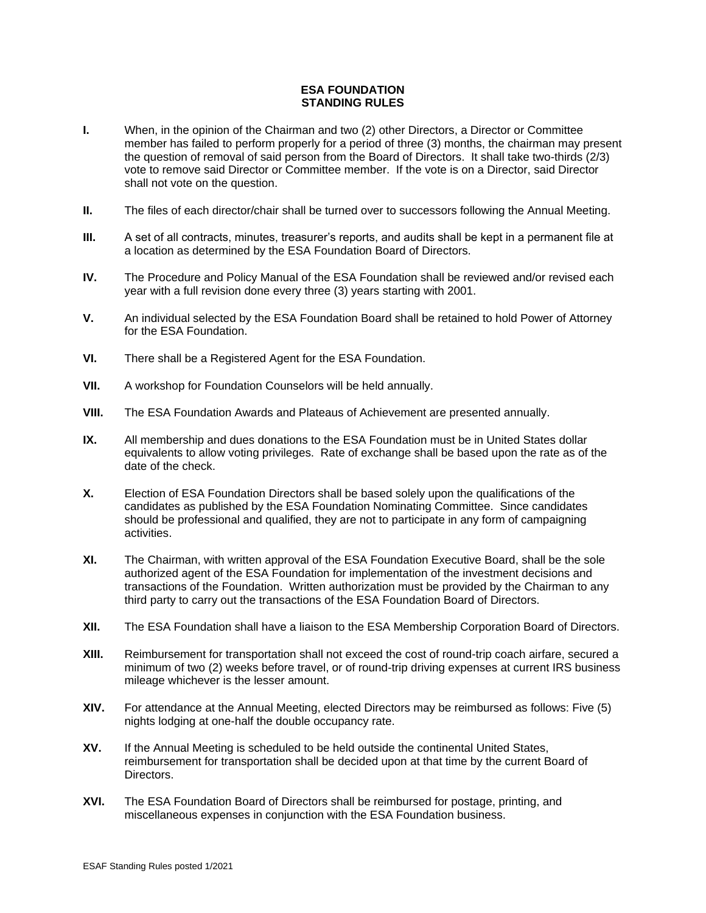#### **ESA FOUNDATION STANDING RULES**

- **I.** When, in the opinion of the Chairman and two (2) other Directors, a Director or Committee member has failed to perform properly for a period of three (3) months, the chairman may present the question of removal of said person from the Board of Directors. It shall take two-thirds (2/3) vote to remove said Director or Committee member. If the vote is on a Director, said Director shall not vote on the question.
- **II.** The files of each director/chair shall be turned over to successors following the Annual Meeting.
- **III.** A set of all contracts, minutes, treasurer's reports, and audits shall be kept in a permanent file at a location as determined by the ESA Foundation Board of Directors.
- **IV.** The Procedure and Policy Manual of the ESA Foundation shall be reviewed and/or revised each year with a full revision done every three (3) years starting with 2001.
- **V.** An individual selected by the ESA Foundation Board shall be retained to hold Power of Attorney for the ESA Foundation.
- **VI.** There shall be a Registered Agent for the ESA Foundation.
- **VII.** A workshop for Foundation Counselors will be held annually.
- **VIII.** The ESA Foundation Awards and Plateaus of Achievement are presented annually.
- **IX.** All membership and dues donations to the ESA Foundation must be in United States dollar equivalents to allow voting privileges. Rate of exchange shall be based upon the rate as of the date of the check.
- **X.** Election of ESA Foundation Directors shall be based solely upon the qualifications of the candidates as published by the ESA Foundation Nominating Committee. Since candidates should be professional and qualified, they are not to participate in any form of campaigning activities.
- **XI.** The Chairman, with written approval of the ESA Foundation Executive Board, shall be the sole authorized agent of the ESA Foundation for implementation of the investment decisions and transactions of the Foundation. Written authorization must be provided by the Chairman to any third party to carry out the transactions of the ESA Foundation Board of Directors.
- **XII.** The ESA Foundation shall have a liaison to the ESA Membership Corporation Board of Directors.
- **XIII.** Reimbursement for transportation shall not exceed the cost of round-trip coach airfare, secured a minimum of two (2) weeks before travel, or of round-trip driving expenses at current IRS business mileage whichever is the lesser amount.
- **XIV.** For attendance at the Annual Meeting, elected Directors may be reimbursed as follows: Five (5) nights lodging at one-half the double occupancy rate.
- **XV.** If the Annual Meeting is scheduled to be held outside the continental United States, reimbursement for transportation shall be decided upon at that time by the current Board of Directors.
- **XVI.** The ESA Foundation Board of Directors shall be reimbursed for postage, printing, and miscellaneous expenses in conjunction with the ESA Foundation business.